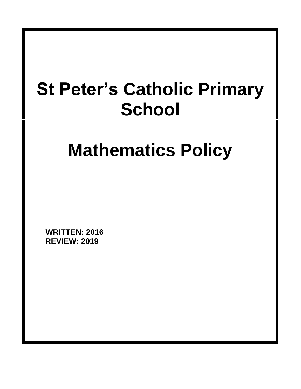# **St Peter's Catholic Primary School**

# **Mathematics Policy**

**WRITTEN: 2016 REVIEW: 2019**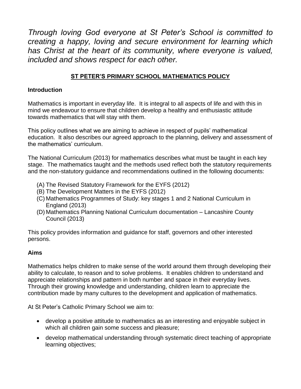*Through loving God everyone at St Peter's School is committed to creating a happy, loving and secure environment for learning which has Christ at the heart of its community, where everyone is valued, included and shows respect for each other.*

# **ST PETER'S PRIMARY SCHOOL MATHEMATICS POLICY**

### **Introduction**

Mathematics is important in everyday life. It is integral to all aspects of life and with this in mind we endeavour to ensure that children develop a healthy and enthusiastic attitude towards mathematics that will stay with them.

This policy outlines what we are aiming to achieve in respect of pupils' mathematical education. It also describes our agreed approach to the planning, delivery and assessment of the mathematics' curriculum.

The National Curriculum (2013) for mathematics describes what must be taught in each key stage. The mathematics taught and the methods used reflect both the statutory requirements and the non-statutory guidance and recommendations outlined in the following documents:

- (A) The Revised Statutory Framework for the EYFS (2012)
- (B) The Development Matters in the EYFS (2012)
- (C) Mathematics Programmes of Study: key stages 1 and 2 National Curriculum in England (2013)
- (D) Mathematics Planning National Curriculum documentation Lancashire County Council (2013)

This policy provides information and guidance for staff, governors and other interested persons.

#### **Aims**

Mathematics helps children to make sense of the world around them through developing their ability to calculate, to reason and to solve problems. It enables children to understand and appreciate relationships and pattern in both number and space in their everyday lives. Through their growing knowledge and understanding, children learn to appreciate the contribution made by many cultures to the development and application of mathematics.

At St Peter's Catholic Primary School we aim to:

- develop a positive attitude to mathematics as an interesting and enjoyable subject in which all children gain some success and pleasure;
- develop mathematical understanding through systematic direct teaching of appropriate learning objectives;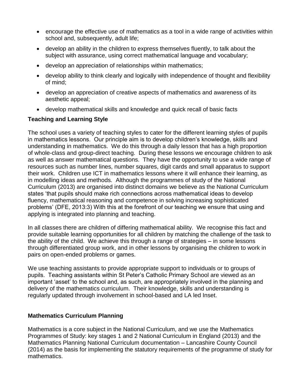- encourage the effective use of mathematics as a tool in a wide range of activities within school and, subsequently, adult life;
- develop an ability in the children to express themselves fluently, to talk about the subject with assurance, using correct mathematical language and vocabulary;
- develop an appreciation of relationships within mathematics;
- develop ability to think clearly and logically with independence of thought and flexibility of mind;
- develop an appreciation of creative aspects of mathematics and awareness of its aesthetic appeal;
- develop mathematical skills and knowledge and quick recall of basic facts

## **Teaching and Learning Style**

The school uses a variety of teaching styles to cater for the different learning styles of pupils in mathematics lessons. Our principle aim is to develop children's knowledge, skills and understanding in mathematics. We do this through a daily lesson that has a high proportion of whole-class and group-direct teaching. During these lessons we encourage children to ask as well as answer mathematical questions. They have the opportunity to use a wide range of resources such as number lines, number squares, digit cards and small apparatus to support their work. Children use ICT in mathematics lessons where it will enhance their learning, as in modelling ideas and methods. Although the programmes of study of the National Curriculum (2013) are organised into distinct domains we believe as the National Curriculum states 'that pupils should make rich connections across mathematical ideas to develop fluency, mathematical reasoning and competence in solving increasing sophisticated problems' (DFE, 2013:3) With this at the forefront of our teaching we ensure that using and applying is integrated into planning and teaching.

In all classes there are children of differing mathematical ability. We recognise this fact and provide suitable learning opportunities for all children by matching the challenge of the task to the ability of the child. We achieve this through a range of strategies – in some lessons through differentiated group work, and in other lessons by organising the children to work in pairs on open-ended problems or games.

We use teaching assistants to provide appropriate support to individuals or to groups of pupils. Teaching assistants within St Peter's Catholic Primary School are viewed as an important 'asset' to the school and, as such, are appropriately involved in the planning and delivery of the mathematics curriculum. Their knowledge, skills and understanding is regularly updated through involvement in school-based and LA led Inset.

## **Mathematics Curriculum Planning**

Mathematics is a core subject in the National Curriculum, and we use the Mathematics Programmes of Study: key stages 1 and 2 National Curriculum in England (2013) and the Mathematics Planning National Curriculum documentation – Lancashire County Council (2014) as the basis for implementing the statutory requirements of the programme of study for mathematics.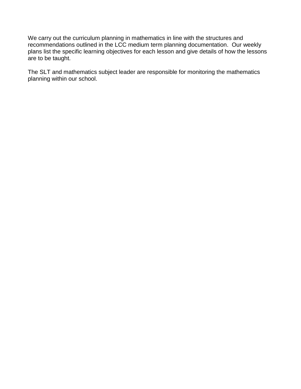We carry out the curriculum planning in mathematics in line with the structures and recommendations outlined in the LCC medium term planning documentation. Our weekly plans list the specific learning objectives for each lesson and give details of how the lessons are to be taught.

The SLT and mathematics subject leader are responsible for monitoring the mathematics planning within our school.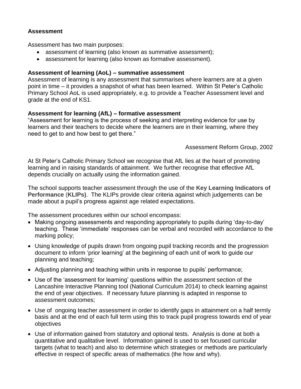#### **Assessment**

Assessment has two main purposes:

- assessment of learning (also known as summative assessment);
- assessment for learning (also known as formative assessment).

#### **Assessment of learning (AoL) – summative assessment**

Assessment of learning is any assessment that summarises where learners are at a given point in time – it provides a snapshot of what has been learned. Within St Peter's Catholic Primary School AoL is used appropriately, e.g. to provide a Teacher Assessment level and grade at the end of KS1.

#### **Assessment for learning (AfL) – formative assessment**

"Assessment for learning is the process of seeking and interpreting evidence for use by learners and their teachers to decide where the learners are in their learning, where they need to get to and how best to get there."

Assessment Reform Group, 2002

At St Peter's Catholic Primary School we recognise that AfL lies at the heart of promoting learning and in raising standards of attainment. We further recognise that effective AfL depends crucially on actually using the information gained.

The school supports teacher assessment through the use of the **Key Learning Indicators of Performance** (**KLIPs)**. The KLIPs provide clear criteria against which judgements can be made about a pupil's progress against age related expectations.

The assessment procedures within our school encompass:

- Making ongoing assessments and responding appropriately to pupils during 'day-to-day' teaching. These 'immediate' responses can be verbal and recorded with accordance to the marking policy;
- Using knowledge of pupils drawn from ongoing pupil tracking records and the progression document to inform 'prior learning' at the beginning of each unit of work to guide our planning and teaching;
- Adjusting planning and teaching within units in response to pupils' performance;
- Use of the 'assessment for learning' questions within the assessment section of the Lancashire Interactive Planning tool (National Curriculum 2014) to check learning against the end of year objectives. If necessary future planning is adapted in response to assessment outcomes;
- Use of ongoing teacher assessment in order to identify gaps in attainment on a half termly basis and at the end of each full term using this to track pupil progress towards end of year objectives
- Use of information gained from statutory and optional tests. Analysis is done at both a quantitative and qualitative level. Information gained is used to set focused curricular targets (what to teach) and also to determine which strategies or methods are particularly effective in respect of specific areas of mathematics (the how and why).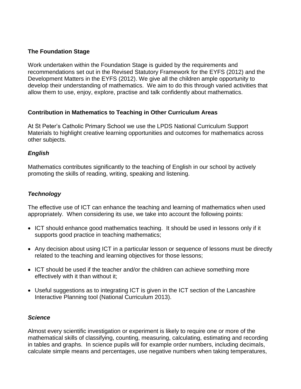## **The Foundation Stage**

Work undertaken within the Foundation Stage is guided by the requirements and recommendations set out in the Revised Statutory Framework for the EYFS (2012) and the Development Matters in the EYFS (2012). We give all the children ample opportunity to develop their understanding of mathematics. We aim to do this through varied activities that allow them to use, enjoy, explore, practise and talk confidently about mathematics.

#### **Contribution in Mathematics to Teaching in Other Curriculum Areas**

At St Peter's Catholic Primary School we use the LPDS National Curriculum Support Materials to highlight creative learning opportunities and outcomes for mathematics across other subjects.

#### *English*

Mathematics contributes significantly to the teaching of English in our school by actively promoting the skills of reading, writing, speaking and listening.

## *Technology*

The effective use of ICT can enhance the teaching and learning of mathematics when used appropriately. When considering its use, we take into account the following points:

- ICT should enhance good mathematics teaching. It should be used in lessons only if it supports good practice in teaching mathematics;
- Any decision about using ICT in a particular lesson or sequence of lessons must be directly related to the teaching and learning objectives for those lessons;
- ICT should be used if the teacher and/or the children can achieve something more effectively with it than without it;
- Useful suggestions as to integrating ICT is given in the ICT section of the Lancashire Interactive Planning tool (National Curriculum 2013).

#### *Science*

Almost every scientific investigation or experiment is likely to require one or more of the mathematical skills of classifying, counting, measuring, calculating, estimating and recording in tables and graphs. In science pupils will for example order numbers, including decimals, calculate simple means and percentages, use negative numbers when taking temperatures,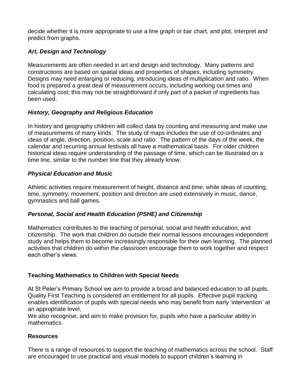decide whether it is more appropriate to use a line graph or bar chart, and plot, interpret and predict from graphs.

# *Art, Design and Technology*

Measurements are often needed in art and design and technology. Many patterns and constructions are based on spatial ideas and properties of shapes, including symmetry. Designs may need enlarging or reducing, introducing ideas of multiplication and ratio. When food is prepared a great deal of measurement occurs, including working out times and calculating cost; this may not be straightforward if only part of a packet of ingredients has been used.

# *History, Geography and Religious Education*

In history and geography children will collect data by counting and measuring and make use of measurements of many kinds. The study of maps includes the use of co-ordinates and ideas of angle, direction, position, scale and ratio. The pattern of the days of the week, the calendar and recurring annual festivals all have a mathematical basis. For older children historical ideas require understanding of the passage of time, which can be illustrated on a time line, similar to the number line that they already know.

# *Physical Education and Music*

Athletic activities require measurement of height, distance and time, while ideas of counting, time, symmetry, movement, position and direction are used extensively in music, dance, gymnastics and ball games.

## *Personal, Social and Health Education (PSHE) and Citizenship*

Mathematics contributes to the teaching of personal, social and health education, and citizenship. The work that children do outside their normal lessons encourages independent study and helps them to become increasingly responsible for their own learning. The planned activities that children do within the classroom encourage them to work together and respect each other's views.

# **Teaching Mathematics to Children with Special Needs**

At St Peter's Primary School we aim to provide a broad and balanced education to all pupils. Quality First Teaching is considered an entitlement for all pupils. Effective pupil tracking enables identification of pupils with special needs who may benefit from early 'intervention' at an appropriate level,

We also recognise, and aim to make provision for, pupils who have a particular ability in mathematics.

## **Resources**

There is a range of resources to support the teaching of mathematics across the school. Staff are encouraged to use practical and visual models to support children's learning in